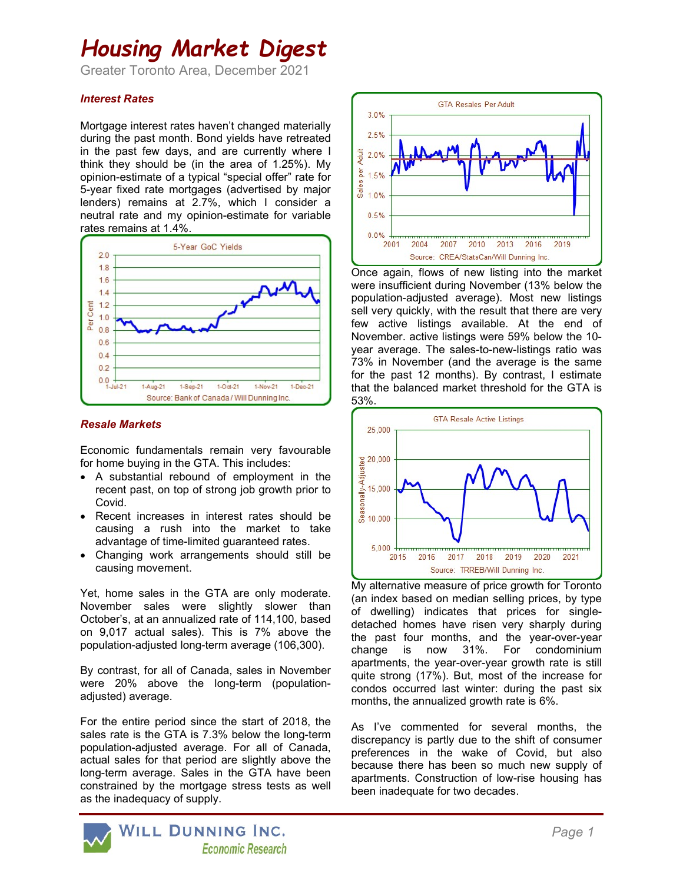## Housing Market Digest

Greater Toronto Area, December 2021

## Interest Rates

Mortgage interest rates haven't changed materially during the past month. Bond yields have retreated in the past few days, and are currently where I think they should be (in the area of 1.25%). My opinion-estimate of a typical "special offer" rate for 5-year fixed rate mortgages (advertised by major lenders) remains at 2.7%, which I consider a neutral rate and my opinion-estimate for variable rates remains at 1.4%.



#### Resale Markets

Economic fundamentals remain very favourable for home buying in the GTA. This includes:

- A substantial rebound of employment in the recent past, on top of strong job growth prior to Covid.
- Recent increases in interest rates should be causing a rush into the market to take advantage of time-limited guaranteed rates.
- Changing work arrangements should still be causing movement.

Yet, home sales in the GTA are only moderate. November sales were slightly slower than October's, at an annualized rate of 114,100, based on 9,017 actual sales). This is 7% above the population-adjusted long-term average (106,300).

By contrast, for all of Canada, sales in November were 20% above the long-term (populationadjusted) average.

For the entire period since the start of 2018, the sales rate is the GTA is 7.3% below the long-term population-adjusted average. For all of Canada, actual sales for that period are slightly above the long-term average. Sales in the GTA have been constrained by the mortgage stress tests as well as the inadequacy of supply.



Once again, flows of new listing into the market were insufficient during November (13% below the population-adjusted average). Most new listings sell very quickly, with the result that there are very few active listings available. At the end of November. active listings were 59% below the 10 year average. The sales-to-new-listings ratio was 73% in November (and the average is the same for the past 12 months). By contrast, I estimate that the balanced market threshold for the GTA is 53%.



My alternative measure of price growth for Toronto (an index based on median selling prices, by type of dwelling) indicates that prices for singledetached homes have risen very sharply during the past four months, and the year-over-year change is now 31%. For condominium apartments, the year-over-year growth rate is still quite strong (17%). But, most of the increase for condos occurred last winter: during the past six months, the annualized growth rate is 6%.

As I've commented for several months, the discrepancy is partly due to the shift of consumer preferences in the wake of Covid, but also because there has been so much new supply of apartments. Construction of low-rise housing has been inadequate for two decades.